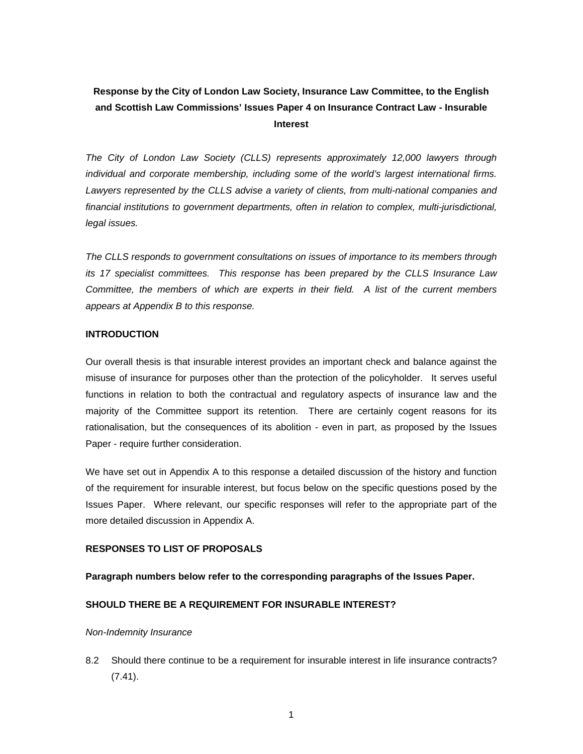# **Response by the City of London Law Society, Insurance Law Committee, to the English and Scottish Law Commissions' Issues Paper 4 on Insurance Contract Law - Insurable Interest**

*The City of London Law Society (CLLS) represents approximately 12,000 lawyers through individual and corporate membership, including some of the world's largest international firms. Lawyers represented by the CLLS advise a variety of clients, from multi-national companies and financial institutions to government departments, often in relation to complex, multi-jurisdictional, legal issues.* 

*The CLLS responds to government consultations on issues of importance to its members through its 17 specialist committees. This response has been prepared by the CLLS Insurance Law Committee, the members of which are experts in their field. A list of the current members appears at Appendix B to this response.* 

### **INTRODUCTION**

Our overall thesis is that insurable interest provides an important check and balance against the misuse of insurance for purposes other than the protection of the policyholder. It serves useful functions in relation to both the contractual and regulatory aspects of insurance law and the majority of the Committee support its retention. There are certainly cogent reasons for its rationalisation, but the consequences of its abolition - even in part, as proposed by the Issues Paper - require further consideration.

We have set out in Appendix A to this response a detailed discussion of the history and function of the requirement for insurable interest, but focus below on the specific questions posed by the Issues Paper. Where relevant, our specific responses will refer to the appropriate part of the more detailed discussion in Appendix A.

## **RESPONSES TO LIST OF PROPOSALS**

## **Paragraph numbers below refer to the corresponding paragraphs of the Issues Paper.**

## **SHOULD THERE BE A REQUIREMENT FOR INSURABLE INTEREST?**

### *Non-Indemnity Insurance*

8.2 Should there continue to be a requirement for insurable interest in life insurance contracts? (7.41).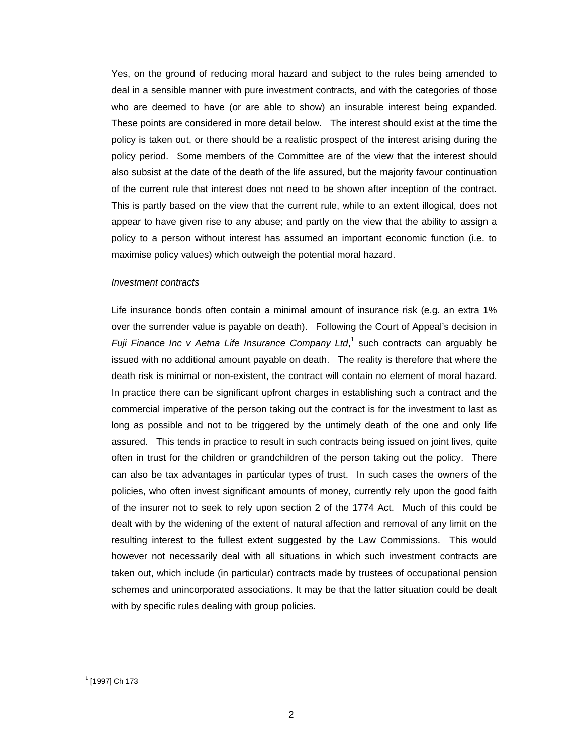Yes, on the ground of reducing moral hazard and subject to the rules being amended to deal in a sensible manner with pure investment contracts, and with the categories of those who are deemed to have (or are able to show) an insurable interest being expanded. These points are considered in more detail below. The interest should exist at the time the policy is taken out, or there should be a realistic prospect of the interest arising during the policy period. Some members of the Committee are of the view that the interest should also subsist at the date of the death of the life assured, but the majority favour continuation of the current rule that interest does not need to be shown after inception of the contract. This is partly based on the view that the current rule, while to an extent illogical, does not appear to have given rise to any abuse; and partly on the view that the ability to assign a policy to a person without interest has assumed an important economic function (i.e. to maximise policy values) which outweigh the potential moral hazard.

#### *Investment contracts*

Life insurance bonds often contain a minimal amount of insurance risk (e.g. an extra 1% over the surrender value is payable on death). Following the Court of Appeal's decision in *Fuji Finance Inc v Aetna Life Insurance Company Ltd*,<sup>1</sup> such contracts can arguably be issued with no additional amount payable on death. Th[e](#page-1-0) reality is therefore that where the death risk is minimal or non-existent, the contract will contain no element of moral hazard. In practice there can be significant upfront charges in establishing such a contract and the commercial imperative of the person taking out the contract is for the investment to last as long as possible and not to be triggered by the untimely death of the one and only life assured. This tends in practice to result in such contracts being issued on joint lives, quite often in trust for the children or grandchildren of the person taking out the policy. There can also be tax advantages in particular types of trust. In such cases the owners of the policies, who often invest significant amounts of money, currently rely upon the good faith of the insurer not to seek to rely upon section 2 of the 1774 Act. Much of this could be dealt with by the widening of the extent of natural affection and removal of any limit on the resulting interest to the fullest extent suggested by the Law Commissions. This would however not necessarily deal with all situations in which such investment contracts are taken out, which include (in particular) contracts made by trustees of occupational pension schemes and unincorporated associations. It may be that the latter situation could be dealt with by specific rules dealing with group policies.

<span id="page-1-0"></span><sup>1</sup> [1997] Ch 173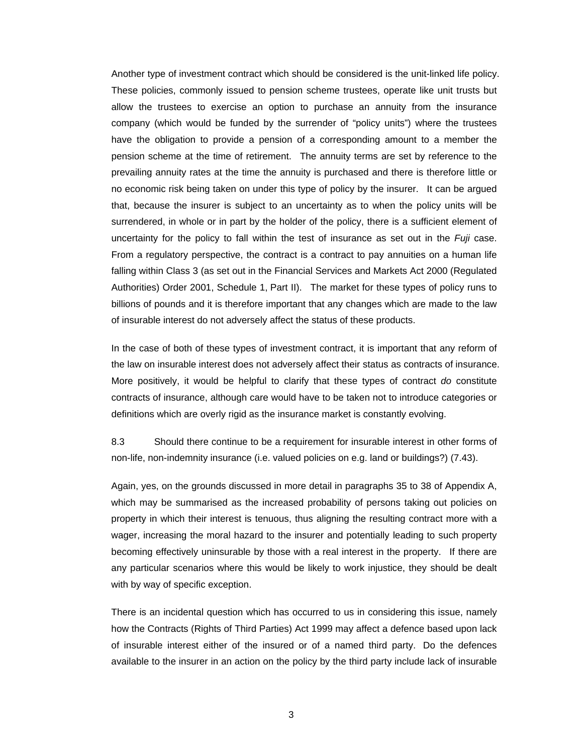Another type of investment contract which should be considered is the unit-linked life policy. These policies, commonly issued to pension scheme trustees, operate like unit trusts but allow the trustees to exercise an option to purchase an annuity from the insurance company (which would be funded by the surrender of "policy units") where the trustees have the obligation to provide a pension of a corresponding amount to a member the pension scheme at the time of retirement. The annuity terms are set by reference to the prevailing annuity rates at the time the annuity is purchased and there is therefore little or no economic risk being taken on under this type of policy by the insurer. It can be argued that, because the insurer is subject to an uncertainty as to when the policy units will be surrendered, in whole or in part by the holder of the policy, there is a sufficient element of uncertainty for the policy to fall within the test of insurance as set out in the *Fuji* case. From a regulatory perspective, the contract is a contract to pay annuities on a human life falling within Class 3 (as set out in the Financial Services and Markets Act 2000 (Regulated Authorities) Order 2001, Schedule 1, Part II). The market for these types of policy runs to billions of pounds and it is therefore important that any changes which are made to the law of insurable interest do not adversely affect the status of these products.

In the case of both of these types of investment contract, it is important that any reform of the law on insurable interest does not adversely affect their status as contracts of insurance. More positively, it would be helpful to clarify that these types of contract *do* constitute contracts of insurance, although care would have to be taken not to introduce categories or definitions which are overly rigid as the insurance market is constantly evolving.

8.3 Should there continue to be a requirement for insurable interest in other forms of non-life, non-indemnity insurance (i.e. valued policies on e.g. land or buildings?) (7.43).

Again, yes, on the grounds discussed in more detail in paragraphs 35 to 38 of Appendix A, which may be summarised as the increased probability of persons taking out policies on property in which their interest is tenuous, thus aligning the resulting contract more with a wager, increasing the moral hazard to the insurer and potentially leading to such property becoming effectively uninsurable by those with a real interest in the property. If there are any particular scenarios where this would be likely to work injustice, they should be dealt with by way of specific exception.

There is an incidental question which has occurred to us in considering this issue, namely how the Contracts (Rights of Third Parties) Act 1999 may affect a defence based upon lack of insurable interest either of the insured or of a named third party. Do the defences available to the insurer in an action on the policy by the third party include lack of insurable

3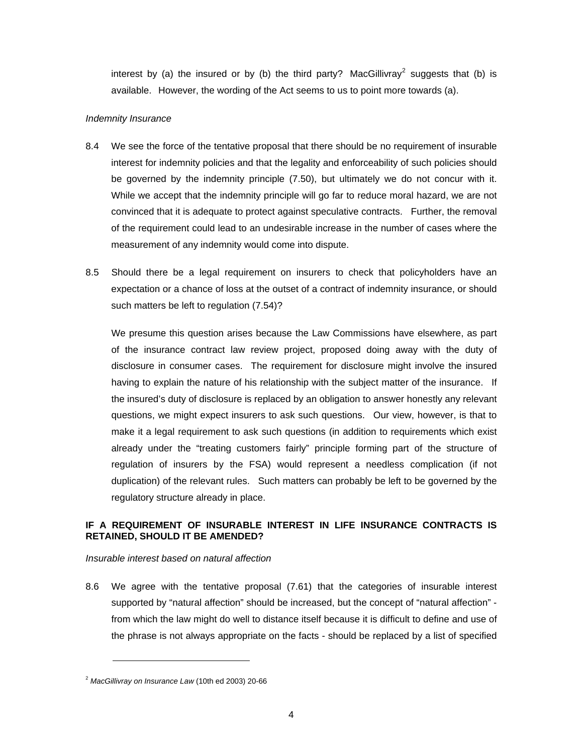interest by (a) the insured or by (b) the third party? MacGillivray<sup>2</sup> suggests that (b) is available. However, the wording of the Act seems to us to point mor[e](#page-3-0) towards (a).

## *Indemnity Insurance*

- 8.4 We see the force of the tentative proposal that there should be no requirement of insurable interest for indemnity policies and that the legality and enforceability of such policies should be governed by the indemnity principle (7.50), but ultimately we do not concur with it. While we accept that the indemnity principle will go far to reduce moral hazard, we are not convinced that it is adequate to protect against speculative contracts. Further, the removal of the requirement could lead to an undesirable increase in the number of cases where the measurement of any indemnity would come into dispute.
- 8.5 Should there be a legal requirement on insurers to check that policyholders have an expectation or a chance of loss at the outset of a contract of indemnity insurance, or should such matters be left to regulation (7.54)?

We presume this question arises because the Law Commissions have elsewhere, as part of the insurance contract law review project, proposed doing away with the duty of disclosure in consumer cases. The requirement for disclosure might involve the insured having to explain the nature of his relationship with the subject matter of the insurance. If the insured's duty of disclosure is replaced by an obligation to answer honestly any relevant questions, we might expect insurers to ask such questions. Our view, however, is that to make it a legal requirement to ask such questions (in addition to requirements which exist already under the "treating customers fairly" principle forming part of the structure of regulation of insurers by the FSA) would represent a needless complication (if not duplication) of the relevant rules. Such matters can probably be left to be governed by the regulatory structure already in place.

# **IF A REQUIREMENT OF INSURABLE INTEREST IN LIFE INSURANCE CONTRACTS IS RETAINED, SHOULD IT BE AMENDED?**

### *Insurable interest based on natural affection*

8.6 We agree with the tentative proposal (7.61) that the categories of insurable interest supported by "natural affection" should be increased, but the concept of "natural affection" from which the law might do well to distance itself because it is difficult to define and use of the phrase is not always appropriate on the facts - should be replaced by a list of specified

<span id="page-3-0"></span><sup>2</sup> *MacGillivray on Insurance Law* (10th ed 2003) 20-66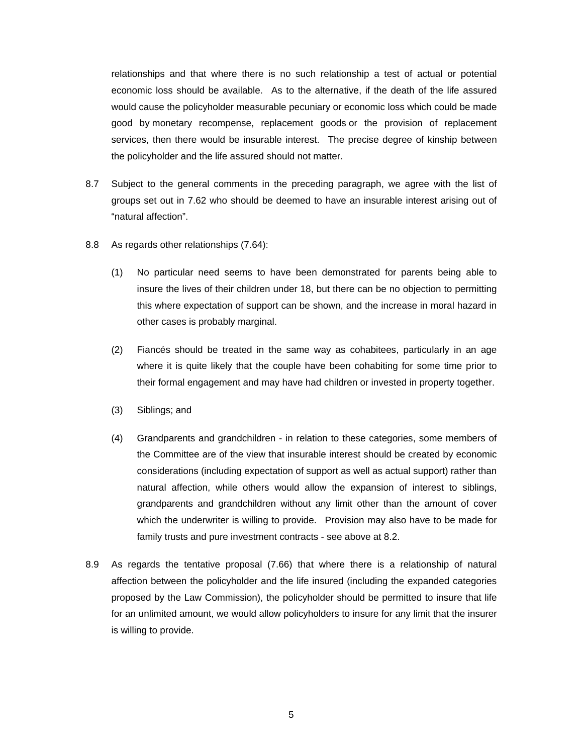relationships and that where there is no such relationship a test of actual or potential economic loss should be available. As to the alternative, if the death of the life assured would cause the policyholder measurable pecuniary or economic loss which could be made good by monetary recompense, replacement goods or the provision of replacement services, then there would be insurable interest. The precise degree of kinship between the policyholder and the life assured should not matter.

- 8.7 Subject to the general comments in the preceding paragraph, we agree with the list of groups set out in 7.62 who should be deemed to have an insurable interest arising out of "natural affection".
- 8.8 As regards other relationships (7.64):
	- (1) No particular need seems to have been demonstrated for parents being able to insure the lives of their children under 18, but there can be no objection to permitting this where expectation of support can be shown, and the increase in moral hazard in other cases is probably marginal.
	- (2) Fiancés should be treated in the same way as cohabitees, particularly in an age where it is quite likely that the couple have been cohabiting for some time prior to their formal engagement and may have had children or invested in property together.
	- (3) Siblings; and
	- (4) Grandparents and grandchildren in relation to these categories, some members of the Committee are of the view that insurable interest should be created by economic considerations (including expectation of support as well as actual support) rather than natural affection, while others would allow the expansion of interest to siblings, grandparents and grandchildren without any limit other than the amount of cover which the underwriter is willing to provide. Provision may also have to be made for family trusts and pure investment contracts - see above at 8.2.
- 8.9 As regards the tentative proposal (7.66) that where there is a relationship of natural affection between the policyholder and the life insured (including the expanded categories proposed by the Law Commission), the policyholder should be permitted to insure that life for an unlimited amount, we would allow policyholders to insure for any limit that the insurer is willing to provide.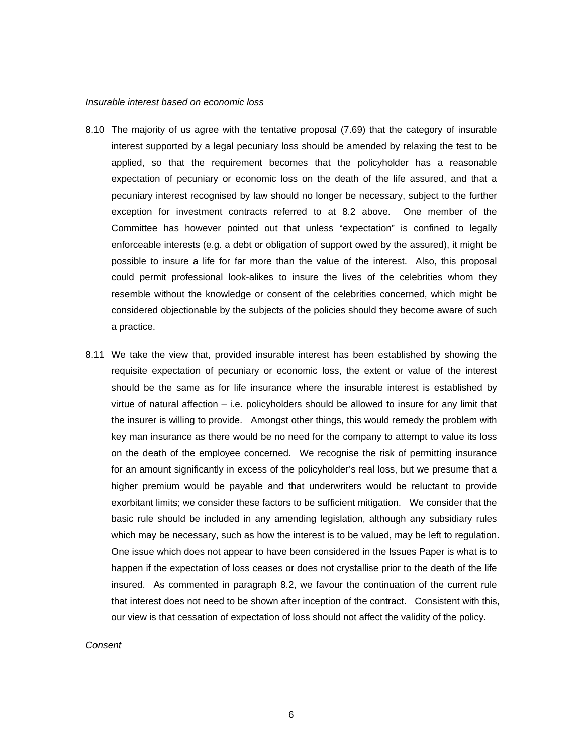#### *Insurable interest based on economic loss*

- 8.10 The majority of us agree with the tentative proposal (7.69) that the category of insurable interest supported by a legal pecuniary loss should be amended by relaxing the test to be applied, so that the requirement becomes that the policyholder has a reasonable expectation of pecuniary or economic loss on the death of the life assured, and that a pecuniary interest recognised by law should no longer be necessary, subject to the further exception for investment contracts referred to at 8.2 above. One member of the Committee has however pointed out that unless "expectation" is confined to legally enforceable interests (e.g. a debt or obligation of support owed by the assured), it might be possible to insure a life for far more than the value of the interest. Also, this proposal could permit professional look-alikes to insure the lives of the celebrities whom they resemble without the knowledge or consent of the celebrities concerned, which might be considered objectionable by the subjects of the policies should they become aware of such a practice.
- 8.11 We take the view that, provided insurable interest has been established by showing the requisite expectation of pecuniary or economic loss, the extent or value of the interest should be the same as for life insurance where the insurable interest is established by virtue of natural affection  $-$  i.e. policyholders should be allowed to insure for any limit that the insurer is willing to provide. Amongst other things, this would remedy the problem with key man insurance as there would be no need for the company to attempt to value its loss on the death of the employee concerned. We recognise the risk of permitting insurance for an amount significantly in excess of the policyholder's real loss, but we presume that a higher premium would be payable and that underwriters would be reluctant to provide exorbitant limits; we consider these factors to be sufficient mitigation. We consider that the basic rule should be included in any amending legislation, although any subsidiary rules which may be necessary, such as how the interest is to be valued, may be left to regulation. One issue which does not appear to have been considered in the Issues Paper is what is to happen if the expectation of loss ceases or does not crystallise prior to the death of the life insured. As commented in paragraph 8.2, we favour the continuation of the current rule that interest does not need to be shown after inception of the contract. Consistent with this, our view is that cessation of expectation of loss should not affect the validity of the policy.

*Consent*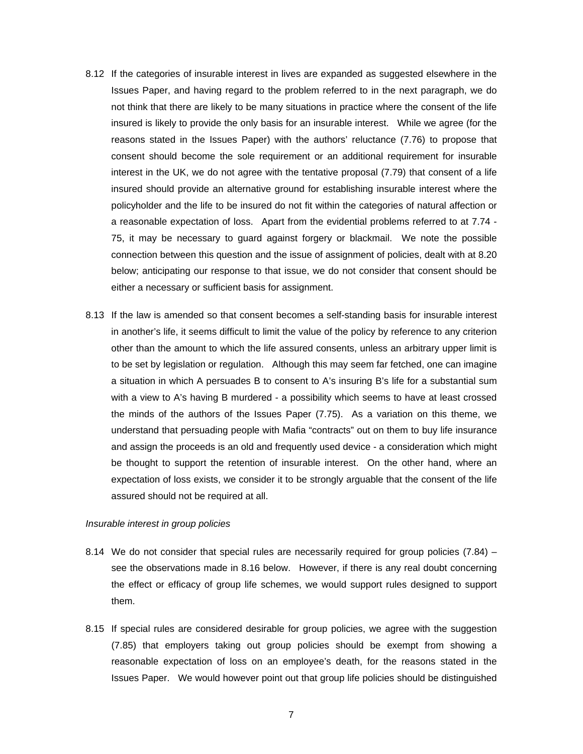- 8.12 If the categories of insurable interest in lives are expanded as suggested elsewhere in the Issues Paper, and having regard to the problem referred to in the next paragraph, we do not think that there are likely to be many situations in practice where the consent of the life insured is likely to provide the only basis for an insurable interest. While we agree (for the reasons stated in the Issues Paper) with the authors' reluctance (7.76) to propose that consent should become the sole requirement or an additional requirement for insurable interest in the UK, we do not agree with the tentative proposal (7.79) that consent of a life insured should provide an alternative ground for establishing insurable interest where the policyholder and the life to be insured do not fit within the categories of natural affection or a reasonable expectation of loss. Apart from the evidential problems referred to at 7.74 - 75, it may be necessary to guard against forgery or blackmail. We note the possible connection between this question and the issue of assignment of policies, dealt with at 8.20 below; anticipating our response to that issue, we do not consider that consent should be either a necessary or sufficient basis for assignment.
- 8.13 If the law is amended so that consent becomes a self-standing basis for insurable interest in another's life, it seems difficult to limit the value of the policy by reference to any criterion other than the amount to which the life assured consents, unless an arbitrary upper limit is to be set by legislation or regulation. Although this may seem far fetched, one can imagine a situation in which A persuades B to consent to A's insuring B's life for a substantial sum with a view to A's having B murdered - a possibility which seems to have at least crossed the minds of the authors of the Issues Paper (7.75). As a variation on this theme, we understand that persuading people with Mafia "contracts" out on them to buy life insurance and assign the proceeds is an old and frequently used device - a consideration which might be thought to support the retention of insurable interest. On the other hand, where an expectation of loss exists, we consider it to be strongly arguable that the consent of the life assured should not be required at all.

### *Insurable interest in group policies*

- 8.14 We do not consider that special rules are necessarily required for group policies  $(7.84)$  see the observations made in 8.16 below. However, if there is any real doubt concerning the effect or efficacy of group life schemes, we would support rules designed to support them.
- 8.15 If special rules are considered desirable for group policies, we agree with the suggestion (7.85) that employers taking out group policies should be exempt from showing a reasonable expectation of loss on an employee's death, for the reasons stated in the Issues Paper. We would however point out that group life policies should be distinguished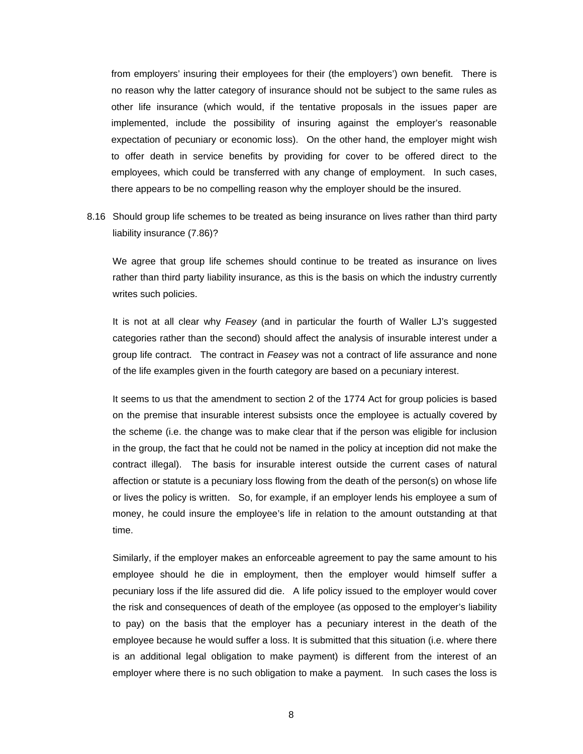from employers' insuring their employees for their (the employers') own benefit. There is no reason why the latter category of insurance should not be subject to the same rules as other life insurance (which would, if the tentative proposals in the issues paper are implemented, include the possibility of insuring against the employer's reasonable expectation of pecuniary or economic loss). On the other hand, the employer might wish to offer death in service benefits by providing for cover to be offered direct to the employees, which could be transferred with any change of employment. In such cases, there appears to be no compelling reason why the employer should be the insured.

8.16 Should group life schemes to be treated as being insurance on lives rather than third party liability insurance (7.86)?

We agree that group life schemes should continue to be treated as insurance on lives rather than third party liability insurance, as this is the basis on which the industry currently writes such policies.

It is not at all clear why *Feasey* (and in particular the fourth of Waller LJ's suggested categories rather than the second) should affect the analysis of insurable interest under a group life contract. The contract in *Feasey* was not a contract of life assurance and none of the life examples given in the fourth category are based on a pecuniary interest.

It seems to us that the amendment to section 2 of the 1774 Act for group policies is based on the premise that insurable interest subsists once the employee is actually covered by the scheme (i.e. the change was to make clear that if the person was eligible for inclusion in the group, the fact that he could not be named in the policy at inception did not make the contract illegal). The basis for insurable interest outside the current cases of natural affection or statute is a pecuniary loss flowing from the death of the person(s) on whose life or lives the policy is written. So, for example, if an employer lends his employee a sum of money, he could insure the employee's life in relation to the amount outstanding at that time.

Similarly, if the employer makes an enforceable agreement to pay the same amount to his employee should he die in employment, then the employer would himself suffer a pecuniary loss if the life assured did die. A life policy issued to the employer would cover the risk and consequences of death of the employee (as opposed to the employer's liability to pay) on the basis that the employer has a pecuniary interest in the death of the employee because he would suffer a loss. It is submitted that this situation (i.e. where there is an additional legal obligation to make payment) is different from the interest of an employer where there is no such obligation to make a payment. In such cases the loss is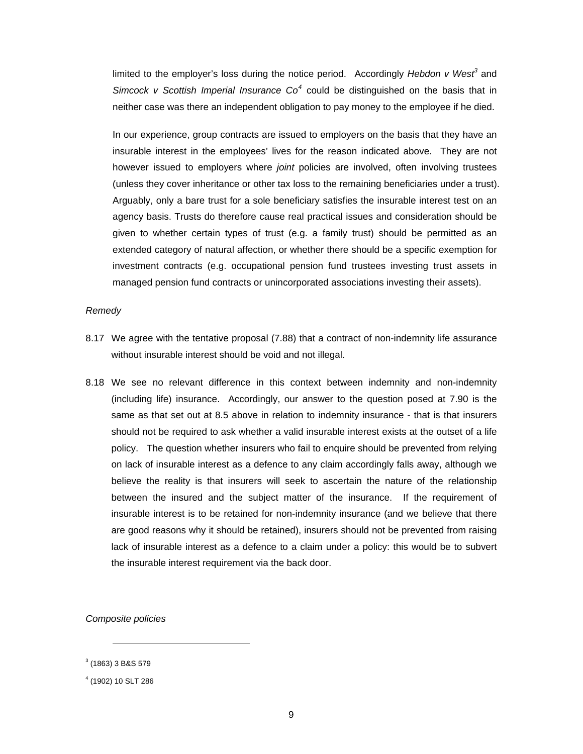limited to the employer's loss during the notice period. Accordingly Hebdon v West<sup>3</sup> and *Simcock v Scottish Imperial Insurance Co<sup>4</sup>* could be distinguished on the basis t[ha](#page-8-0)t in neither case was there an independent obli[ga](#page-8-1)tion to pay money to the employee if he died.

In our experience, group contracts are issued to employers on the basis that they have an insurable interest in the employees' lives for the reason indicated above. They are not however issued to employers where *joint* policies are involved, often involving trustees (unless they cover inheritance or other tax loss to the remaining beneficiaries under a trust). Arguably, only a bare trust for a sole beneficiary satisfies the insurable interest test on an agency basis. Trusts do therefore cause real practical issues and consideration should be given to whether certain types of trust (e.g. a family trust) should be permitted as an extended category of natural affection, or whether there should be a specific exemption for investment contracts (e.g. occupational pension fund trustees investing trust assets in managed pension fund contracts or unincorporated associations investing their assets).

#### *Remedy*

- 8.17 We agree with the tentative proposal (7.88) that a contract of non-indemnity life assurance without insurable interest should be void and not illegal.
- 8.18 We see no relevant difference in this context between indemnity and non-indemnity (including life) insurance. Accordingly, our answer to the question posed at 7.90 is the same as that set out at 8.5 above in relation to indemnity insurance - that is that insurers should not be required to ask whether a valid insurable interest exists at the outset of a life policy. The question whether insurers who fail to enquire should be prevented from relying on lack of insurable interest as a defence to any claim accordingly falls away, although we believe the reality is that insurers will seek to ascertain the nature of the relationship between the insured and the subject matter of the insurance. If the requirement of insurable interest is to be retained for non-indemnity insurance (and we believe that there are good reasons why it should be retained), insurers should not be prevented from raising lack of insurable interest as a defence to a claim under a policy: this would be to subvert the insurable interest requirement via the back door.

*Composite policies* 

<span id="page-8-0"></span> $^3$  (1863) 3 B&S 579

<span id="page-8-1"></span><sup>4</sup> (1902) 10 SLT 286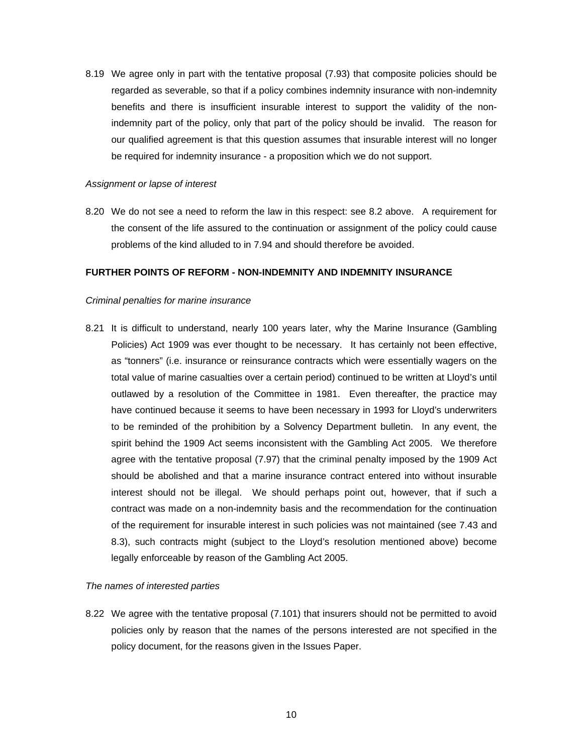8.19 We agree only in part with the tentative proposal (7.93) that composite policies should be regarded as severable, so that if a policy combines indemnity insurance with non-indemnity benefits and there is insufficient insurable interest to support the validity of the nonindemnity part of the policy, only that part of the policy should be invalid. The reason for our qualified agreement is that this question assumes that insurable interest will no longer be required for indemnity insurance - a proposition which we do not support.

#### *Assignment or lapse of interest*

8.20 We do not see a need to reform the law in this respect: see 8.2 above. A requirement for the consent of the life assured to the continuation or assignment of the policy could cause problems of the kind alluded to in 7.94 and should therefore be avoided.

### **FURTHER POINTS OF REFORM - NON-INDEMNITY AND INDEMNITY INSURANCE**

#### *Criminal penalties for marine insurance*

8.21 It is difficult to understand, nearly 100 years later, why the Marine Insurance (Gambling Policies) Act 1909 was ever thought to be necessary. It has certainly not been effective, as "tonners" (i.e. insurance or reinsurance contracts which were essentially wagers on the total value of marine casualties over a certain period) continued to be written at Lloyd's until outlawed by a resolution of the Committee in 1981. Even thereafter, the practice may have continued because it seems to have been necessary in 1993 for Lloyd's underwriters to be reminded of the prohibition by a Solvency Department bulletin. In any event, the spirit behind the 1909 Act seems inconsistent with the Gambling Act 2005. We therefore agree with the tentative proposal (7.97) that the criminal penalty imposed by the 1909 Act should be abolished and that a marine insurance contract entered into without insurable interest should not be illegal. We should perhaps point out, however, that if such a contract was made on a non-indemnity basis and the recommendation for the continuation of the requirement for insurable interest in such policies was not maintained (see 7.43 and 8.3), such contracts might (subject to the Lloyd's resolution mentioned above) become legally enforceable by reason of the Gambling Act 2005.

#### *The names of interested parties*

8.22 We agree with the tentative proposal (7.101) that insurers should not be permitted to avoid policies only by reason that the names of the persons interested are not specified in the policy document, for the reasons given in the Issues Paper.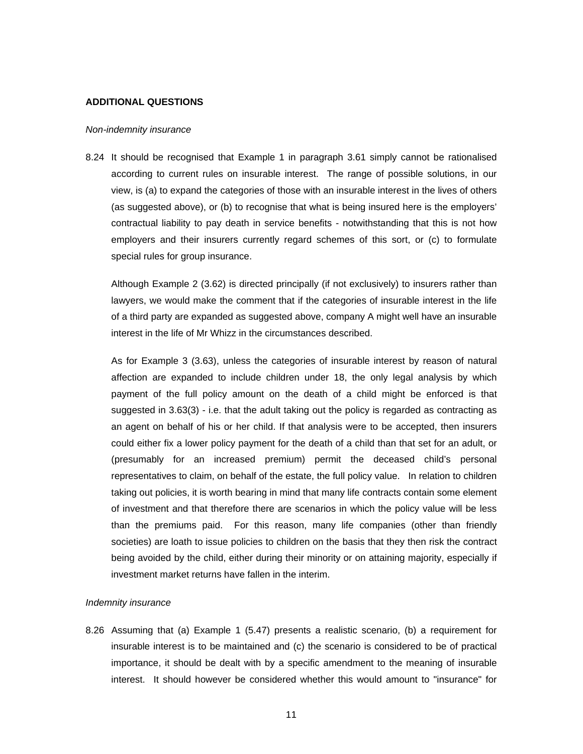#### **ADDITIONAL QUESTIONS**

#### *Non-indemnity insurance*

8.24 It should be recognised that Example 1 in paragraph 3.61 simply cannot be rationalised according to current rules on insurable interest. The range of possible solutions, in our view, is (a) to expand the categories of those with an insurable interest in the lives of others (as suggested above), or (b) to recognise that what is being insured here is the employers' contractual liability to pay death in service benefits - notwithstanding that this is not how employers and their insurers currently regard schemes of this sort, or (c) to formulate special rules for group insurance.

Although Example 2 (3.62) is directed principally (if not exclusively) to insurers rather than lawyers, we would make the comment that if the categories of insurable interest in the life of a third party are expanded as suggested above, company A might well have an insurable interest in the life of Mr Whizz in the circumstances described.

As for Example 3 (3.63), unless the categories of insurable interest by reason of natural affection are expanded to include children under 18, the only legal analysis by which payment of the full policy amount on the death of a child might be enforced is that suggested in 3.63(3) - i.e. that the adult taking out the policy is regarded as contracting as an agent on behalf of his or her child. If that analysis were to be accepted, then insurers could either fix a lower policy payment for the death of a child than that set for an adult, or (presumably for an increased premium) permit the deceased child's personal representatives to claim, on behalf of the estate, the full policy value. In relation to children taking out policies, it is worth bearing in mind that many life contracts contain some element of investment and that therefore there are scenarios in which the policy value will be less than the premiums paid. For this reason, many life companies (other than friendly societies) are loath to issue policies to children on the basis that they then risk the contract being avoided by the child, either during their minority or on attaining majority, especially if investment market returns have fallen in the interim.

#### *Indemnity insurance*

8.26 Assuming that (a) Example 1 (5.47) presents a realistic scenario, (b) a requirement for insurable interest is to be maintained and (c) the scenario is considered to be of practical importance, it should be dealt with by a specific amendment to the meaning of insurable interest. It should however be considered whether this would amount to "insurance" for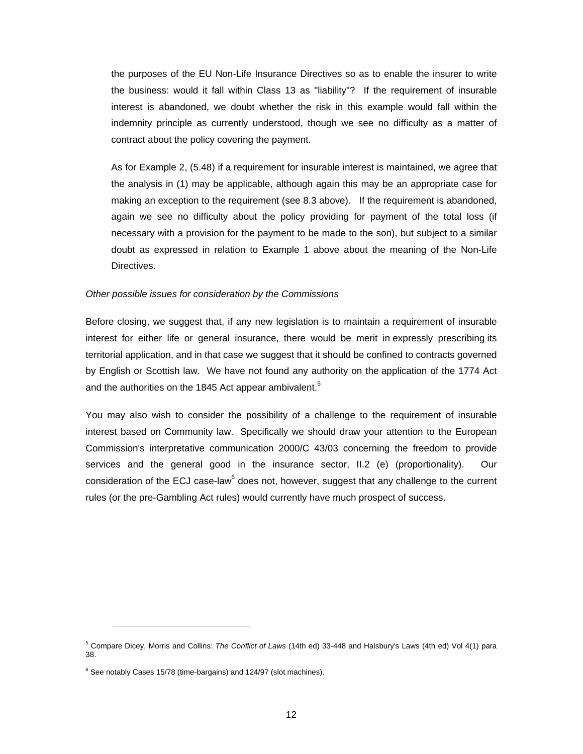the purposes of the EU Non-Life Insurance Directives so as to enable the insurer to write the business: would it fall within Class 13 as "liability"? If the requirement of insurable interest is abandoned, we doubt whether the risk in this example would fall within the indemnity principle as currently understood, though we see no difficulty as a matter of contract about the policy covering the payment.

As for Example 2, (5.48) if a requirement for insurable interest is maintained, we agree that the analysis in (1) may be applicable, although again this may be an appropriate case for making an exception to the requirement (see 8.3 above). If the requirement is abandoned, again we see no difficulty about the policy providing for payment of the total loss (if necessary with a provision for the payment to be made to the son), but subject to a similar doubt as expressed in relation to Example 1 above about the meaning of the Non-Life Directives.

#### *Other possible issues for consideration by the Commissions*

Before closing, we suggest that, if any new legislation is to maintain a requirement of insurable interest for either life or general insurance, there would be merit in expressly prescribing its territorial application, and in that case we suggest that it should be confined to contracts governed by English or Scottish law. We have not found any authority on the application of the 1774 Act and the authorities on the 1845 Act appear ambivalent.<sup>5</sup>

You may also wish to consider the possibility of a challenge to the requirement of insurable interest based on Community law. Specifically we should draw your attention to the European Commission's interpretative communication 2000/C 43/03 concerning the freedom to provide services and the general good in the insurance sector, II.2 (e) (proportionality). Our consideration of the ECJ case-law<sup>6</sup> does not, however, suggest that any challenge to the current rules (or the pre-Gambling Act rul[es\)](#page-11-0) would currently have much prospect of success.

<sup>5</sup> Compare Dicey, Morris and Collins: *The Conflict of Laws* (14th ed) 33-448 and Halsbury's Laws (4th ed) Vol 4(1) para 38.

<span id="page-11-0"></span> $^6$  See notably Cases 15/78 (time-bargains) and 124/97 (slot machines).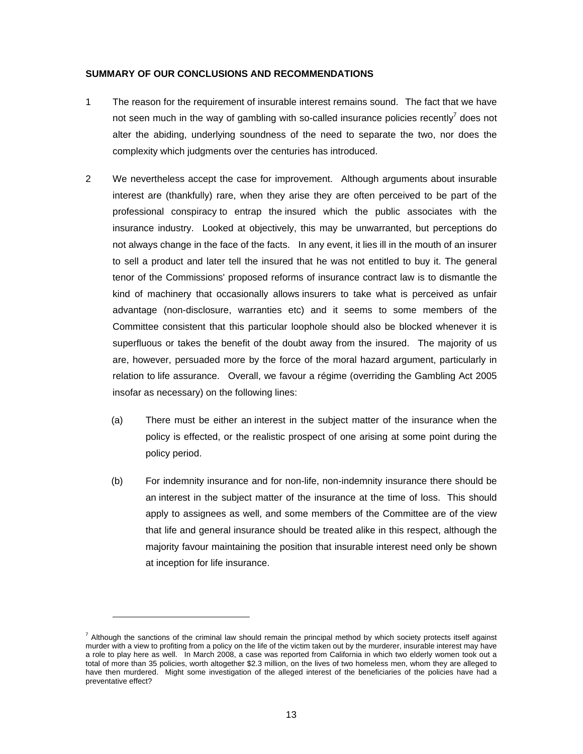### **SUMMARY OF OUR CONCLUSIONS AND RECOMMENDATIONS**

- 1 The reason for the requirement of insurable interest remains sound. The fact that we have not seen much in the way of gambling with so-called insurance policies recently<sup>7</sup> does not alter the abiding, underlying soundness of the need to separate the two, no[r](#page-12-0) does the complexity which judgments over the centuries has introduced.
- 2 We nevertheless accept the case for improvement. Although arguments about insurable interest are (thankfully) rare, when they arise they are often perceived to be part of the professional conspiracy to entrap the insured which the public associates with the insurance industry. Looked at objectively, this may be unwarranted, but perceptions do not always change in the face of the facts. In any event, it lies ill in the mouth of an insurer to sell a product and later tell the insured that he was not entitled to buy it. The general tenor of the Commissions' proposed reforms of insurance contract law is to dismantle the kind of machinery that occasionally allows insurers to take what is perceived as unfair advantage (non-disclosure, warranties etc) and it seems to some members of the Committee consistent that this particular loophole should also be blocked whenever it is superfluous or takes the benefit of the doubt away from the insured. The majority of us are, however, persuaded more by the force of the moral hazard argument, particularly in relation to life assurance. Overall, we favour a régime (overriding the Gambling Act 2005 insofar as necessary) on the following lines:
	- (a) There must be either an interest in the subject matter of the insurance when the policy is effected, or the realistic prospect of one arising at some point during the policy period.
	- (b) For indemnity insurance and for non-life, non-indemnity insurance there should be an interest in the subject matter of the insurance at the time of loss. This should apply to assignees as well, and some members of the Committee are of the view that life and general insurance should be treated alike in this respect, although the majority favour maintaining the position that insurable interest need only be shown at inception for life insurance.

<span id="page-12-0"></span><sup>&</sup>lt;sup>7</sup> Although the sanctions of the criminal law should remain the principal method by which society protects itself against murder with a view to profiting from a policy on the life of the victim taken out by the murderer, insurable interest may have a role to play here as well. In March 2008, a case was reported from California in which two elderly women took out a total of more than 35 policies, worth altogether \$2.3 million, on the lives of two homeless men, whom they are alleged to have then murdered. Might some investigation of the alleged interest of the beneficiaries of the policies have had a preventative effect?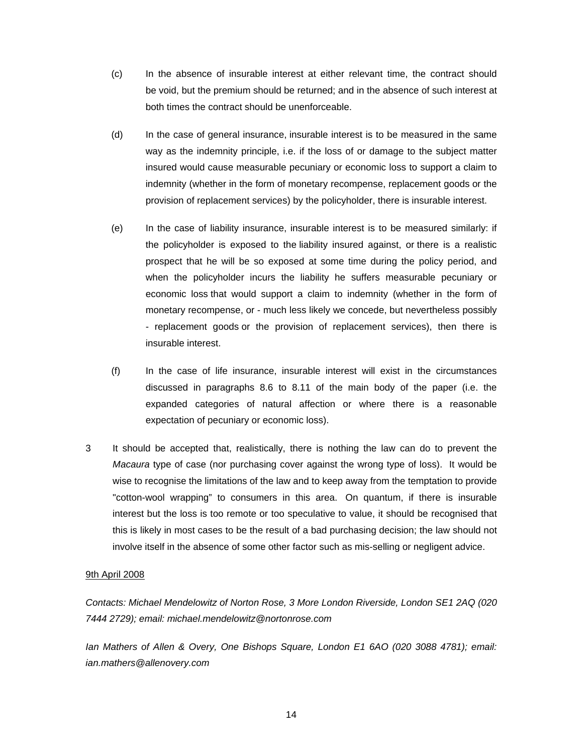- (c) In the absence of insurable interest at either relevant time, the contract should be void, but the premium should be returned; and in the absence of such interest at both times the contract should be unenforceable.
- (d) In the case of general insurance, insurable interest is to be measured in the same way as the indemnity principle, i.e. if the loss of or damage to the subject matter insured would cause measurable pecuniary or economic loss to support a claim to indemnity (whether in the form of monetary recompense, replacement goods or the provision of replacement services) by the policyholder, there is insurable interest.
- (e) In the case of liability insurance, insurable interest is to be measured similarly: if the policyholder is exposed to the liability insured against, or there is a realistic prospect that he will be so exposed at some time during the policy period, and when the policyholder incurs the liability he suffers measurable pecuniary or economic loss that would support a claim to indemnity (whether in the form of monetary recompense, or - much less likely we concede, but nevertheless possibly - replacement goods or the provision of replacement services), then there is insurable interest.
- (f) In the case of life insurance, insurable interest will exist in the circumstances discussed in paragraphs 8.6 to 8.11 of the main body of the paper (i.e. the expanded categories of natural affection or where there is a reasonable expectation of pecuniary or economic loss).
- 3 It should be accepted that, realistically, there is nothing the law can do to prevent the *Macaura* type of case (nor purchasing cover against the wrong type of loss). It would be wise to recognise the limitations of the law and to keep away from the temptation to provide "cotton-wool wrapping" to consumers in this area. On quantum, if there is insurable interest but the loss is too remote or too speculative to value, it should be recognised that this is likely in most cases to be the result of a bad purchasing decision; the law should not involve itself in the absence of some other factor such as mis-selling or negligent advice.

### 9th April 2008

*Contacts: Michael Mendelowitz of Norton Rose, 3 More London Riverside, London SE1 2AQ (020 7444 2729); email: michael.mendelowitz@nortonrose.com*

*Ian Mathers of Allen & Overy, One Bishops Square, London E1 6AO (020 3088 4781); email: ian.mathers@allenovery.com*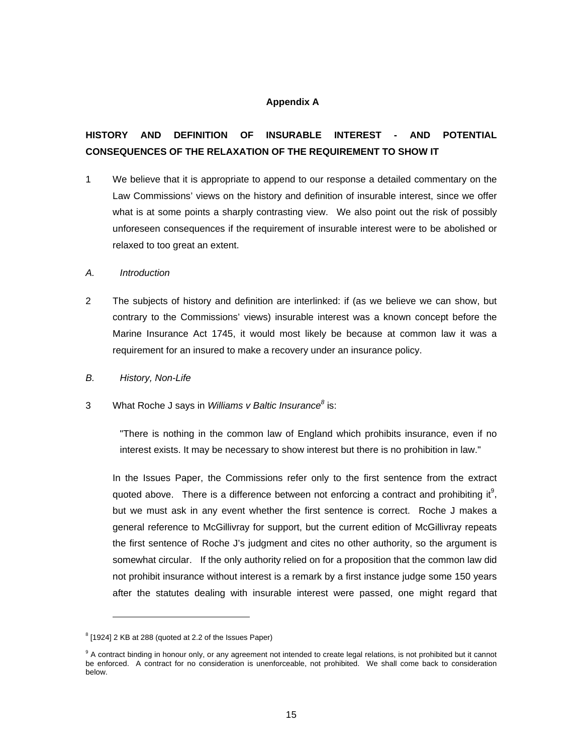## **Appendix A**

# **HISTORY AND DEFINITION OF INSURABLE INTEREST - AND POTENTIAL CONSEQUENCES OF THE RELAXATION OF THE REQUIREMENT TO SHOW IT**

1 We believe that it is appropriate to append to our response a detailed commentary on the Law Commissions' views on the history and definition of insurable interest, since we offer what is at some points a sharply contrasting view. We also point out the risk of possibly unforeseen consequences if the requirement of insurable interest were to be abolished or relaxed to too great an extent.

#### *A. Introduction*

2 The subjects of history and definition are interlinked: if (as we believe we can show, but contrary to the Commissions' views) insurable interest was a known concept before the Marine Insurance Act 1745, it would most likely be because at common law it was a requirement for an insured to make a recovery under an insurance policy.

### *B. History, Non-Life*

3 What Roche J says in *Williams v Baltic Insurance<sup>8</sup>* is:

"There is nothing in the common law of England which prohibits insurance, even if no interest exists. It may be necessary to show interest but there is no prohibition in law."

In the Issues Paper, the Commissions refer only to the first sentence from the extract quoted above. There is a difference between not enforcing a contract and prohibiting it<sup>9</sup>, but we must ask in any event whether the first sentence is correct. Roche J makes [a](#page-14-0) general reference to McGillivray for support, but the current edition of McGillivray repeats the first sentence of Roche J's judgment and cites no other authority, so the argument is somewhat circular. If the only authority relied on for a proposition that the common law did not prohibit insurance without interest is a remark by a first instance judge some 150 years after the statutes dealing with insurable interest were passed, one might regard that

 $8$  [1924] 2 KB at 288 (quoted at 2.2 of the Issues Paper)

<span id="page-14-0"></span><sup>&</sup>lt;sup>9</sup> A contract binding in honour only, or any agreement not intended to create legal relations, is not prohibited but it cannot be enforced. A contract for no consideration is unenforceable, not prohibited. We shall come back to consideration below.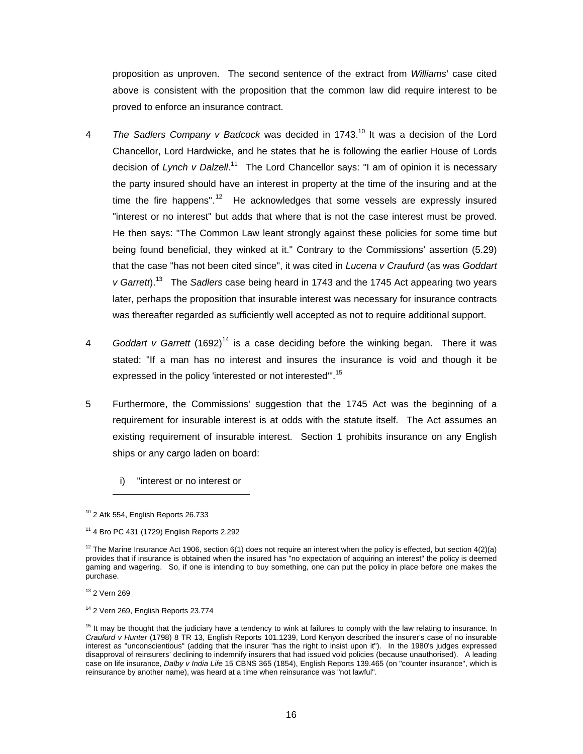proposition as unproven. The second sentence of the extract from *Williams*' case cited above is consistent with the proposition that the common law did require interest to be proved to enforce an insurance contract.

- 4 *The Sadlers Company v Badcock* was decided in 1743.<sup>10</sup> It was a decision of the Lord Chancellor, Lord Hardwicke, and he states that he is foll[ow](#page-15-0)ing the earlier House of Lords decision of *Lynch v Dalzell*. <sup>11</sup> The Lord Chancellor says: "I am of opinion it is necessary the party insured should ha[ve](#page-15-1) an interest in property at the time of the insuring and at the time the fire happens".<sup>12</sup> He acknowledges that some vessels are expressly insured "interest or no interest" [bu](#page-15-2)t adds that where that is not the case interest must be proved. He then says: "The Common Law leant strongly against these policies for some time but being found beneficial, they winked at it." Contrary to the Commissions' assertion (5.29) that the case "has not been cited since", it was cited in *Lucena v Craufurd* (as was *Goddart v Garrett*).13 The *Sadlers* case being heard in 1743 and the 1745 Act appearing two years later, per[hap](#page-15-3)s the proposition that insurable interest was necessary for insurance contracts was thereafter regarded as sufficiently well accepted as not to require additional support.
- 4 *Goddart v Garrett* (1692) 14 is a case deciding before the winking began. There it was stated: "If a man has n[o i](#page-15-4)nterest and insures the insurance is void and though it be expressed in the policy 'interested or not interested".<sup>15</sup>
- 5 Furthermore, the Commissions' suggestion that the 1745 Act was the beginning of a requirement for insurable interest is at odds with the statute itself. The Act assumes an existing requirement of insurable interest. Section 1 prohibits insurance on any English ships or any cargo laden on board:
	- i) "interest or no interest or

<span id="page-15-0"></span> $10$  2 Atk 554, English Reports 26.733

<span id="page-15-3"></span><sup>13</sup> 2 Vern 269

<span id="page-15-1"></span><sup>11 4</sup> Bro PC 431 (1729) English Reports 2.292

<span id="page-15-2"></span> $12$  The Marine Insurance Act 1906, section 6(1) does not require an interest when the policy is effected, but section 4(2)(a) provides that if insurance is obtained when the insured has "no expectation of acquiring an interest" the policy is deemed gaming and wagering. So, if one is intending to buy something, one can put the policy in place before one makes the purchase.

<span id="page-15-4"></span> $14$  2 Vern 269, English Reports 23.774

<sup>&</sup>lt;sup>15</sup> It may be thought that the judiciary have a tendency to wink at failures to comply with the law relating to insurance. In *Craufurd v Hunter* (1798) 8 TR 13, English Reports 101.1239, Lord Kenyon described the insurer's case of no insurable interest as "unconscientious" (adding that the insurer "has the right to insist upon it"). In the 1980's judges expressed disapproval of reinsurers' declining to indemnify insurers that had issued void policies (because unauthorised). A leading case on life insurance, *Dalby v India Life* 15 CBNS 365 (1854), English Reports 139.465 (on "counter insurance", which is reinsurance by another name), was heard at a time when reinsurance was "not lawful".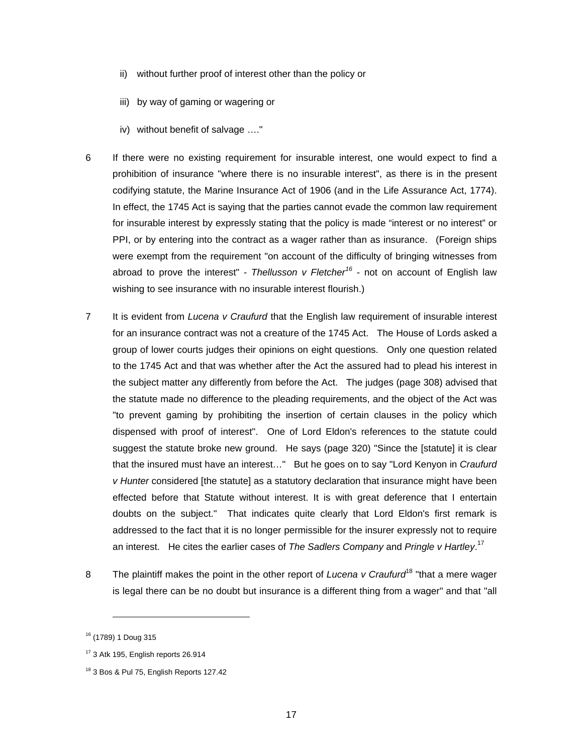- ii) without further proof of interest other than the policy or
- iii) by way of gaming or wagering or
- iv) without benefit of salvage …."
- 6 If there were no existing requirement for insurable interest, one would expect to find a prohibition of insurance "where there is no insurable interest", as there is in the present codifying statute, the Marine Insurance Act of 1906 (and in the Life Assurance Act, 1774). In effect, the 1745 Act is saying that the parties cannot evade the common law requirement for insurable interest by expressly stating that the policy is made "interest or no interest" or PPI, or by entering into the contract as a wager rather than as insurance. (Foreign ships were exempt from the requirement "on account of the difficulty of bringing witnesses from abroad to prove the interest" - *Thellusson v Fletcher<sup>16</sup>* - not on account of English law wishing to see insurance with no insurable interest flou[rish](#page-16-0).)
- 7 It is evident from *Lucena v Craufurd* that the English law requirement of insurable interest for an insurance contract was not a creature of the 1745 Act. The House of Lords asked a group of lower courts judges their opinions on eight questions. Only one question related to the 1745 Act and that was whether after the Act the assured had to plead his interest in the subject matter any differently from before the Act. The judges (page 308) advised that the statute made no difference to the pleading requirements, and the object of the Act was "to prevent gaming by prohibiting the insertion of certain clauses in the policy which dispensed with proof of interest". One of Lord Eldon's references to the statute could suggest the statute broke new ground. He says (page 320) "Since the [statute] it is clear that the insured must have an interest…" But he goes on to say "Lord Kenyon in *Craufurd v Hunter* considered [the statute] as a statutory declaration that insurance might have been effected before that Statute without interest. It is with great deference that I entertain doubts on the subject." That indicates quite clearly that Lord Eldon's first remark is addressed to the fact that it is no longer permissible for the insurer expressly not to require an interest. He cites the earlier cases of *The Sadlers Company* and *Pringle v Hartley*. 17
- 8 The plaintiff makes the point in the other report of *Lucena v Craufurd*18 "that a mere wager is legal there can be no doubt but insurance is a different thing from [a w](#page-16-1)ager" and that "all

<span id="page-16-0"></span><sup>16 (1789) 1</sup> Doug 315

<sup>&</sup>lt;sup>17</sup> 3 Atk 195, English reports 26.914

<span id="page-16-1"></span><sup>&</sup>lt;sup>18</sup> 3 Bos & Pul 75, English Reports 127.42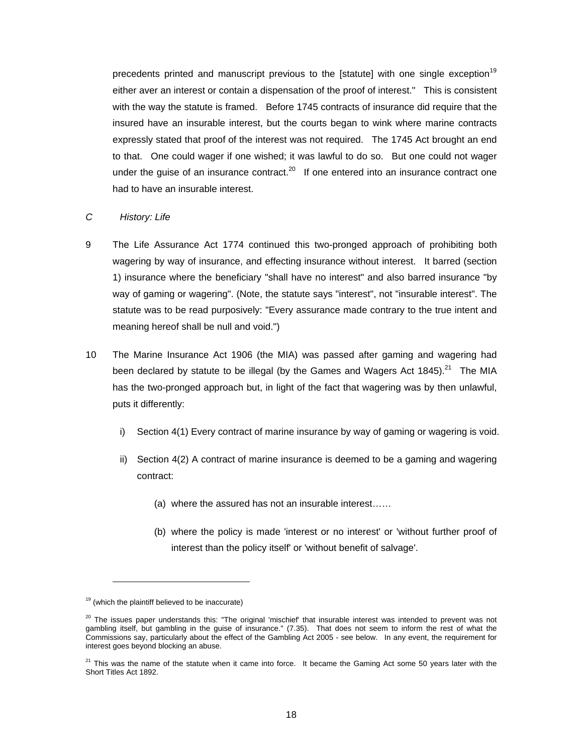precedents printed and manuscript previous to the [statute] with one single exception<sup>19</sup> either aver an interest or contain a dispensation of the proof of interest." This is consiste[nt](#page-17-0) with the way the statute is framed. Before 1745 contracts of insurance did require that the insured have an insurable interest, but the courts began to wink where marine contracts expressly stated that proof of the interest was not required. The 1745 Act brought an end to that. One could wager if one wished; it was lawful to do so. But one could not wager under the quise of an insurance contract. $^{20}$  If one entered into an insurance contract one had to have an insurable interest.

#### *C History: Life*

- 9 The Life Assurance Act 1774 continued this two-pronged approach of prohibiting both wagering by way of insurance, and effecting insurance without interest. It barred (section 1) insurance where the beneficiary "shall have no interest" and also barred insurance "by way of gaming or wagering". (Note, the statute says "interest", not "insurable interest". The statute was to be read purposively: "Every assurance made contrary to the true intent and meaning hereof shall be null and void.")
- 10 The Marine Insurance Act 1906 (the MIA) was passed after gaming and wagering had been declared by statute to be illegal (by the Games and Wagers Act 1845). $^{21}$  The MIA has the two-pronged approach but, in light of the fact that wagering was by t[hen](#page-17-1) unlawful, puts it differently:
	- i) Section 4(1) Every contract of marine insurance by way of gaming or wagering is void.
	- ii) Section 4(2) A contract of marine insurance is deemed to be a gaming and wagering contract:
		- (a) where the assured has not an insurable interest……
		- (b) where the policy is made 'interest or no interest' or 'without further proof of interest than the policy itself' or 'without benefit of salvage'.

<span id="page-17-0"></span> $19$  (which the plaintiff believed to be inaccurate)

<sup>&</sup>lt;sup>20</sup> The issues paper understands this: "The original 'mischief' that insurable interest was intended to prevent was not gambling itself, but gambling in the guise of insurance." (7.35). That does not seem to inform the rest of what the Commissions say, particularly about the effect of the Gambling Act 2005 - see below. In any event, the requirement for interest goes beyond blocking an abuse.

<span id="page-17-1"></span> $21$  This was the name of the statute when it came into force. It became the Gaming Act some 50 years later with the Short Titles Act 1892.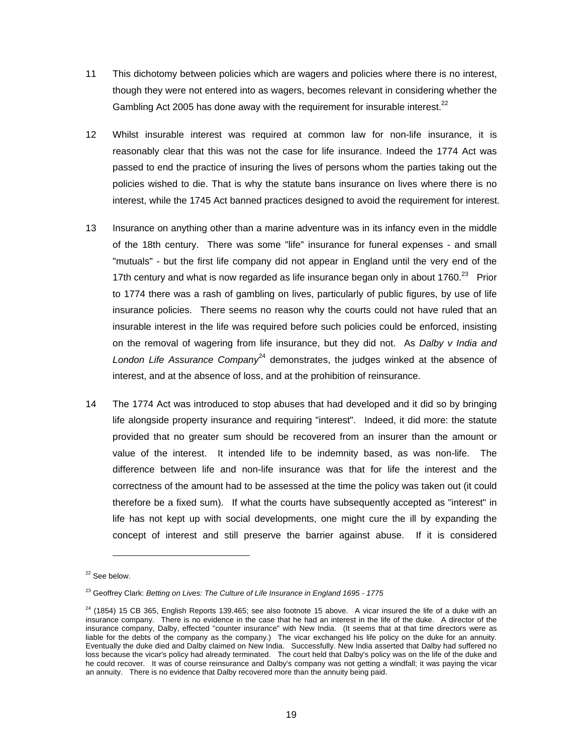- 11 This dichotomy between policies which are wagers and policies where there is no interest, though they were not entered into as wagers, becomes relevant in considering whether the Gambling Act 2005 has done away with the requirement for insurable interest. $^{22}$
- 12 Whilst insurable interest was required at common law for non-life insurance, it is reasonably clear that this was not the case for life insurance. Indeed the 1774 Act was passed to end the practice of insuring the lives of persons whom the parties taking out the policies wished to die. That is why the statute bans insurance on lives where there is no interest, while the 1745 Act banned practices designed to avoid the requirement for interest.
- 13 Insurance on anything other than a marine adventure was in its infancy even in the middle of the 18th century. There was some "life" insurance for funeral expenses - and small "mutuals" - but the first life company did not appear in England until the very end of the 17th century and what is now regarded as life insurance began only in about  $1760.<sup>23</sup>$  Prior to 1774 there was a rash of gambling on lives, particularly of public figures, by u[se](#page-18-0) of life insurance policies. There seems no reason why the courts could not have ruled that an insurable interest in the life was required before such policies could be enforced, insisting on the removal of wagering from life insurance, but they did not. As *Dalby v India and* London Life Assurance Company<sup>24</sup> demonstrates, the judges winked at the absence of interest, and at the absence of los[s, a](#page-18-1)nd at the prohibition of reinsurance.
- 14 The 1774 Act was introduced to stop abuses that had developed and it did so by bringing life alongside property insurance and requiring "interest". Indeed, it did more: the statute provided that no greater sum should be recovered from an insurer than the amount or value of the interest. It intended life to be indemnity based, as was non-life. The difference between life and non-life insurance was that for life the interest and the correctness of the amount had to be assessed at the time the policy was taken out (it could therefore be a fixed sum). If what the courts have subsequently accepted as "interest" in life has not kept up with social developments, one might cure the ill by expanding the concept of interest and still preserve the barrier against abuse. If it is considered

<sup>&</sup>lt;sup>22</sup> See below.

<span id="page-18-0"></span> 23 Geoffrey Clark: *Betting on Lives: The Culture of Life Insurance in England 1695 - 1775*

<span id="page-18-1"></span> $24$  (1854) 15 CB 365, English Reports 139.465; see also footnote 15 above. A vicar insured the life of a duke with an insurance company. There is no evidence in the case that he had an interest in the life of the duke. A director of the insurance company, Dalby, effected "counter insurance" with New India. (It seems that at that time directors were as liable for the debts of the company as the company.) The vicar exchanged his life policy on the duke for an annuity. Eventually the duke died and Dalby claimed on New India. Successfully. New India asserted that Dalby had suffered no loss because the vicar's policy had already terminated. The court held that Dalby's policy was on the life of the duke and he could recover. It was of course reinsurance and Dalby's company was not getting a windfall; it was paying the vicar an annuity. There is no evidence that Dalby recovered more than the annuity being paid.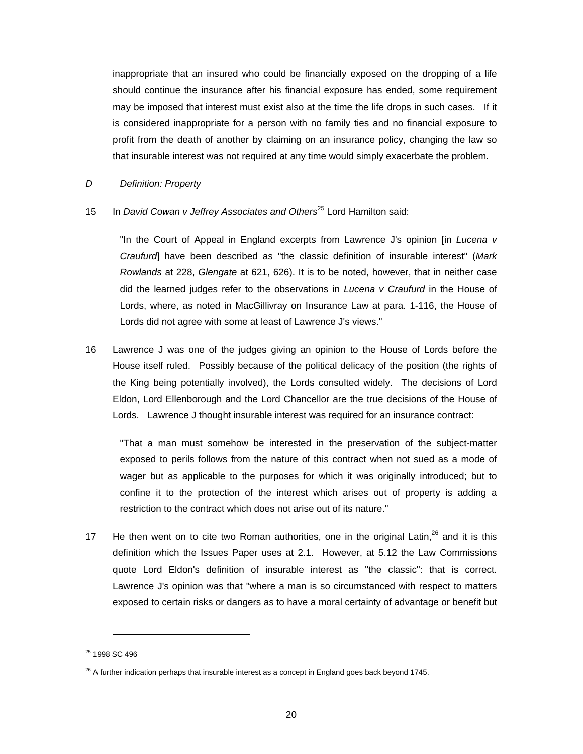inappropriate that an insured who could be financially exposed on the dropping of a life should continue the insurance after his financial exposure has ended, some requirement may be imposed that interest must exist also at the time the life drops in such cases. If it is considered inappropriate for a person with no family ties and no financial exposure to profit from the death of another by claiming on an insurance policy, changing the law so that insurable interest was not required at any time would simply exacerbate the problem.

## *D Definition: Property*

# 15 In *David Cowan v Jeffrey Associates and Others*25 Lord Hamilton said:

"In the Court of Appeal in England excerpts from Lawrence J's opinion [in *Lucena v Craufurd*] have been described as "the classic definition of insurable interest" (*Mark Rowlands* at 228, *Glengate* at 621, 626). It is to be noted, however, that in neither case did the learned judges refer to the observations in *Lucena v Craufurd* in the House of Lords, where, as noted in MacGillivray on Insurance Law at para. 1-116, the House of Lords did not agree with some at least of Lawrence J's views."

16 Lawrence J was one of the judges giving an opinion to the House of Lords before the House itself ruled. Possibly because of the political delicacy of the position (the rights of the King being potentially involved), the Lords consulted widely. The decisions of Lord Eldon, Lord Ellenborough and the Lord Chancellor are the true decisions of the House of Lords. Lawrence J thought insurable interest was required for an insurance contract:

"That a man must somehow be interested in the preservation of the subject-matter exposed to perils follows from the nature of this contract when not sued as a mode of wager but as applicable to the purposes for which it was originally introduced; but to confine it to the protection of the interest which arises out of property is adding a restriction to the contract which does not arise out of its nature."

17 He then went on to cite two Roman authorities, one in the original Latin,  $^{26}$  and it is this definition which the Issues Paper uses at 2.1. However, at 5.12 the La[w C](#page-19-0)ommissions quote Lord Eldon's definition of insurable interest as "the classic": that is correct. Lawrence J's opinion was that "where a man is so circumstanced with respect to matters exposed to certain risks or dangers as to have a moral certainty of advantage or benefit but

<sup>&</sup>lt;sup>25</sup> 1998 SC 496

<span id="page-19-0"></span> $^{26}$  A further indication perhaps that insurable interest as a concept in England goes back beyond 1745.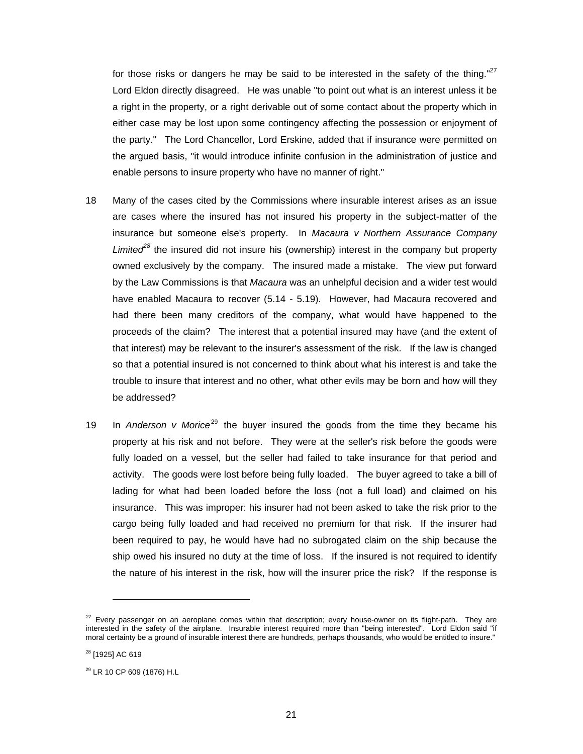for those risks or dangers he may be said to be interested in the safety of the thing." $27$ Lord Eldon directly disagreed. He was unable "to point out what is an interest unless it [be](#page-20-0)  a right in the property, or a right derivable out of some contact about the property which in either case may be lost upon some contingency affecting the possession or enjoyment of the party." The Lord Chancellor, Lord Erskine, added that if insurance were permitted on the argued basis, "it would introduce infinite confusion in the administration of justice and enable persons to insure property who have no manner of right."

- 18 Many of the cases cited by the Commissions where insurable interest arises as an issue are cases where the insured has not insured his property in the subject-matter of the insurance but someone else's property. In *Macaura v Northern Assurance Company Limited<sup>28</sup>* the insured did not insure his (ownership) interest in the company but property owned [ex](#page-20-1)clusively by the company. The insured made a mistake. The view put forward by the Law Commissions is that *Macaura* was an unhelpful decision and a wider test would have enabled Macaura to recover (5.14 - 5.19). However, had Macaura recovered and had there been many creditors of the company, what would have happened to the proceeds of the claim? The interest that a potential insured may have (and the extent of that interest) may be relevant to the insurer's assessment of the risk. If the law is changed so that a potential insured is not concerned to think about what his interest is and take the trouble to insure that interest and no other, what other evils may be born and how will they be addressed?
- 19 In *Anderson v Morice*29 the buyer insured the goods from the time they became his property at his risk an[d no](#page-20-2)t before. They were at the seller's risk before the goods were fully loaded on a vessel, but the seller had failed to take insurance for that period and activity. The goods were lost before being fully loaded. The buyer agreed to take a bill of lading for what had been loaded before the loss (not a full load) and claimed on his insurance. This was improper: his insurer had not been asked to take the risk prior to the cargo being fully loaded and had received no premium for that risk. If the insurer had been required to pay, he would have had no subrogated claim on the ship because the ship owed his insured no duty at the time of loss. If the insured is not required to identify the nature of his interest in the risk, how will the insurer price the risk? If the response is

<span id="page-20-0"></span><sup>&</sup>lt;sup>27</sup> Every passenger on an aeroplane comes within that description; every house-owner on its flight-path. They are interested in the safety of the airplane. Insurable interest required more than "being interested". Lord Eldon said "if moral certainty be a ground of insurable interest there are hundreds, perhaps thousands, who would be entitled to insure."

<span id="page-20-1"></span><sup>&</sup>lt;sup>28</sup> [1925] AC 619

<span id="page-20-2"></span><sup>29</sup> LR 10 CP 609 (1876) H.L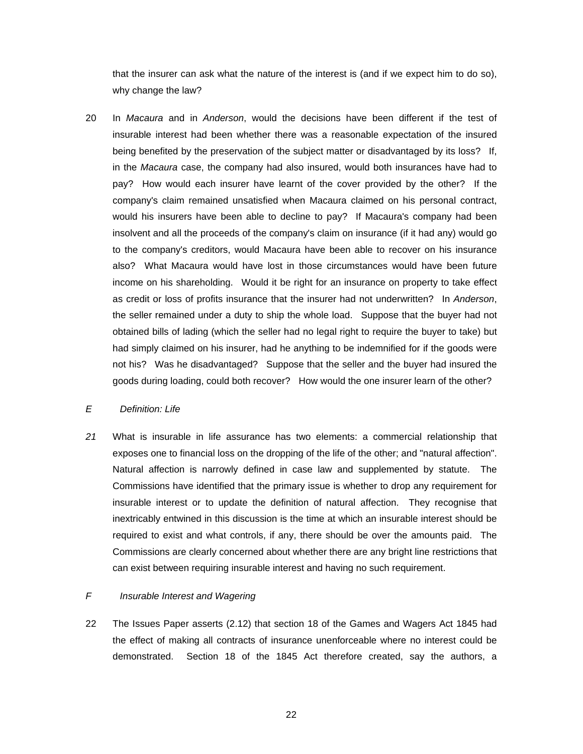that the insurer can ask what the nature of the interest is (and if we expect him to do so), why change the law?

20 In *Macaura* and in *Anderson*, would the decisions have been different if the test of insurable interest had been whether there was a reasonable expectation of the insured being benefited by the preservation of the subject matter or disadvantaged by its loss? If, in the *Macaura* case, the company had also insured, would both insurances have had to pay? How would each insurer have learnt of the cover provided by the other? If the company's claim remained unsatisfied when Macaura claimed on his personal contract, would his insurers have been able to decline to pay? If Macaura's company had been insolvent and all the proceeds of the company's claim on insurance (if it had any) would go to the company's creditors, would Macaura have been able to recover on his insurance also? What Macaura would have lost in those circumstances would have been future income on his shareholding. Would it be right for an insurance on property to take effect as credit or loss of profits insurance that the insurer had not underwritten? In *Anderson*, the seller remained under a duty to ship the whole load. Suppose that the buyer had not obtained bills of lading (which the seller had no legal right to require the buyer to take) but had simply claimed on his insurer, had he anything to be indemnified for if the goods were not his? Was he disadvantaged? Suppose that the seller and the buyer had insured the goods during loading, could both recover? How would the one insurer learn of the other?

## *E Definition: Life*

*21* What is insurable in life assurance has two elements: a commercial relationship that exposes one to financial loss on the dropping of the life of the other; and "natural affection". Natural affection is narrowly defined in case law and supplemented by statute. The Commissions have identified that the primary issue is whether to drop any requirement for insurable interest or to update the definition of natural affection. They recognise that inextricably entwined in this discussion is the time at which an insurable interest should be required to exist and what controls, if any, there should be over the amounts paid. The Commissions are clearly concerned about whether there are any bright line restrictions that can exist between requiring insurable interest and having no such requirement.

## *F Insurable Interest and Wagering*

22 The Issues Paper asserts (2.12) that section 18 of the Games and Wagers Act 1845 had the effect of making all contracts of insurance unenforceable where no interest could be demonstrated. Section 18 of the 1845 Act therefore created, say the authors, a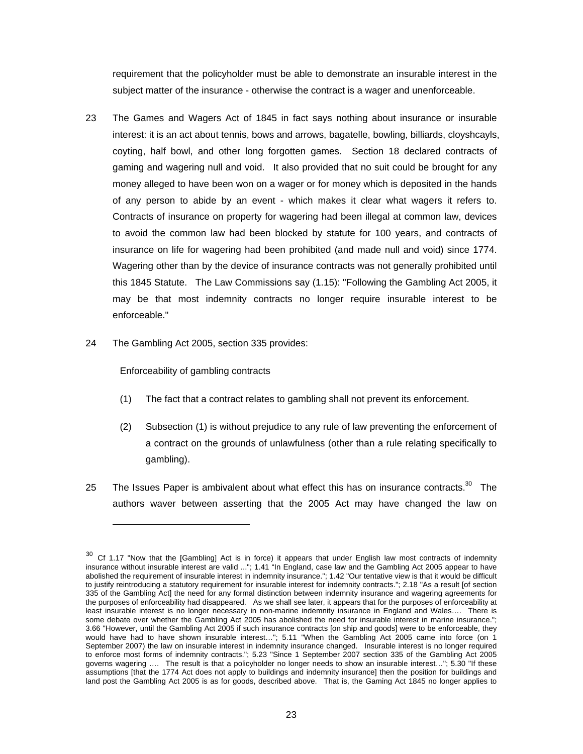<span id="page-22-0"></span>requirement that the policyholder must be able to demonstrate an insurable interest in the subject matter of the insurance - otherwise the contract is a wager and unenforceable.

- 23 The Games and Wagers Act of 1845 in fact says nothing about insurance or insurable interest: it is an act about tennis, bows and arrows, bagatelle, bowling, billiards, cloyshcayls, coyting, half bowl, and other long forgotten games. Section 18 declared contracts of gaming and wagering null and void. It also provided that no suit could be brought for any money alleged to have been won on a wager or for money which is deposited in the hands of any person to abide by an event - which makes it clear what wagers it refers to. Contracts of insurance on property for wagering had been illegal at common law, devices to avoid the common law had been blocked by statute for 100 years, and contracts of insurance on life for wagering had been prohibited (and made null and void) since 1774. Wagering other than by the device of insurance contracts was not generally prohibited until this 1845 Statute. The Law Commissions say (1.15): "Following the Gambling Act 2005, it may be that most indemnity contracts no longer require insurable interest to be enforceable."
- 24 The Gambling Act 2005, section 335 provides:

Enforceability of gambling contracts

- (1) The fact that a contract relates to gambling shall not prevent its enforcement.
- (2) Subsection (1) is without prejudice to any rule of law preventing the enforcement of a contract on the grounds of unlawfulness (other than a rule relating specifically to gambling).
- 25 The Issues Paper is ambivalent about what effect this has on insurance contracts.<sup>30</sup> The authors waver between asserting that the 2005 Act may have changed the [law](#page-22-0) on

 $30$  Cf 1.17 "Now that the [Gambling] Act is in force) it appears that under English law most contracts of indemnity insurance without insurable interest are valid ..."; 1.41 "In England, case law and the Gambling Act 2005 appear to have abolished the requirement of insurable interest in indemnity insurance."; 1.42 "Our tentative view is that it would be difficult to justify reintroducing a statutory requirement for insurable interest for indemnity contracts."; 2.18 "As a result [of section 335 of the Gambling Act] the need for any formal distinction between indemnity insurance and wagering agreements for the purposes of enforceability had disappeared. As we shall see later, it appears that for the purposes of enforceability at least insurable interest is no longer necessary in non-marine indemnity insurance in England and Wales…. There is some debate over whether the Gambling Act 2005 has abolished the need for insurable interest in marine insurance."; 3.66 "However, until the Gambling Act 2005 if such insurance contracts [on ship and goods] were to be enforceable, they would have had to have shown insurable interest…"; 5.11 "When the Gambling Act 2005 came into force (on 1 September 2007) the law on insurable interest in indemnity insurance changed. Insurable interest is no longer required to enforce most forms of indemnity contracts."; 5.23 "Since 1 September 2007 section 335 of the Gambling Act 2005 governs wagering …. The result is that a policyholder no longer needs to show an insurable interest…"; 5.30 "If these assumptions [that the 1774 Act does not apply to buildings and indemnity insurance] then the position for buildings and land post the Gambling Act 2005 is as for goods, described above. That is, the Gaming Act 1845 no longer applies to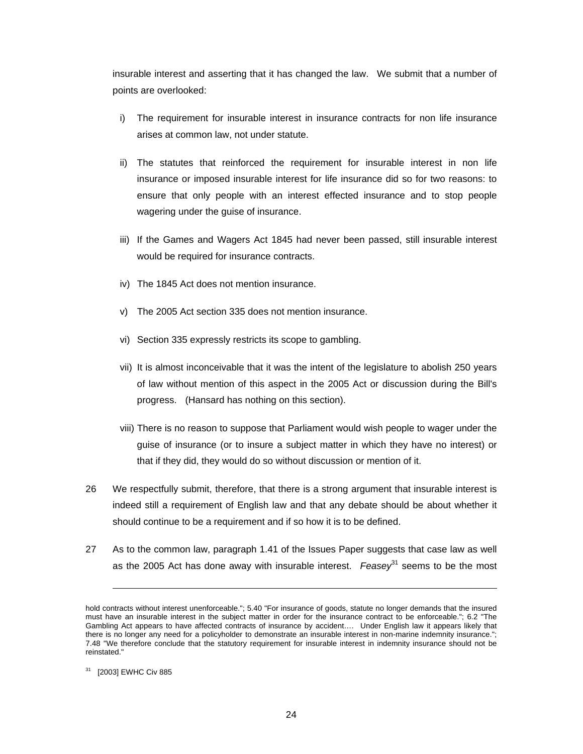insurable interest and asserting that it has changed the law. We submit that a number of points are overlooked:

- i) The requirement for insurable interest in insurance contracts for non life insurance arises at common law, not under statute.
- ii) The statutes that reinforced the requirement for insurable interest in non life insurance or imposed insurable interest for life insurance did so for two reasons: to ensure that only people with an interest effected insurance and to stop people wagering under the guise of insurance.
- iii) If the Games and Wagers Act 1845 had never been passed, still insurable interest would be required for insurance contracts.
- iv) The 1845 Act does not mention insurance.
- v) The 2005 Act section 335 does not mention insurance.
- vi) Section 335 expressly restricts its scope to gambling.
- vii) It is almost inconceivable that it was the intent of the legislature to abolish 250 years of law without mention of this aspect in the 2005 Act or discussion during the Bill's progress. (Hansard has nothing on this section).
- viii) There is no reason to suppose that Parliament would wish people to wager under the guise of insurance (or to insure a subject matter in which they have no interest) or that if they did, they would do so without discussion or mention of it.
- 26 We respectfully submit, therefore, that there is a strong argument that insurable interest is indeed still a requirement of English law and that any debate should be about whether it should continue to be a requirement and if so how it is to be defined.
- 27 As to the common law, paragraph 1.41 of the Issues Paper suggests that case law as well as the 2005 Act has done away with insurable interest. *Feasey*<sup>31</sup> seems to be the most

hold contracts without interest unenforceable."; 5.40 "For insurance of goods, statute no longer demands that the insured must have an insurable interest in the subject matter in order for the insurance contract to be enforceable."; 6.2 "The Gambling Act appears to have affected contracts of insurance by accident…. Under English law it appears likely that there is no longer any need for a policyholder to demonstrate an insurable interest in non-marine indemnity insurance."; 7.48 "We therefore conclude that the statutory requirement for insurable interest in indemnity insurance should not be reinstated."

<sup>31</sup> [2003] EWHC Civ 885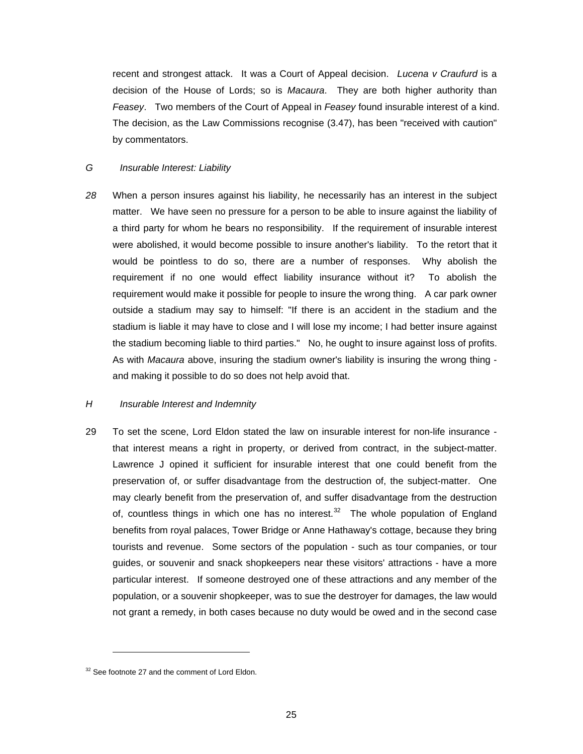recent and strongest attack. It was a Court of Appeal decision. *Lucena v Craufurd* is a decision of the House of Lords; so is *Macaura*. They are both higher authority than *Feasey*. Two members of the Court of Appeal in *Feasey* found insurable interest of a kind. The decision, as the Law Commissions recognise (3.47), has been "received with caution" by commentators.

## *G Insurable Interest: Liability*

*28* When a person insures against his liability, he necessarily has an interest in the subject matter. We have seen no pressure for a person to be able to insure against the liability of a third party for whom he bears no responsibility. If the requirement of insurable interest were abolished, it would become possible to insure another's liability. To the retort that it would be pointless to do so, there are a number of responses. Why abolish the requirement if no one would effect liability insurance without it? To abolish the requirement would make it possible for people to insure the wrong thing. A car park owner outside a stadium may say to himself: "If there is an accident in the stadium and the stadium is liable it may have to close and I will lose my income; I had better insure against the stadium becoming liable to third parties." No, he ought to insure against loss of profits. As with *Macaura* above, insuring the stadium owner's liability is insuring the wrong thing and making it possible to do so does not help avoid that.

### *H Insurable Interest and Indemnity*

29 To set the scene, Lord Eldon stated the law on insurable interest for non-life insurance that interest means a right in property, or derived from contract, in the subject-matter. Lawrence J opined it sufficient for insurable interest that one could benefit from the preservation of, or suffer disadvantage from the destruction of, the subject-matter. One may clearly benefit from the preservation of, and suffer disadvantage from the destruction of, countless things in which one has no interest. $32$  The whole population of England benefits from royal palaces, Tower Bridge or Anne [Hath](#page-24-0)away's cottage, because they bring tourists and revenue. Some sectors of the population - such as tour companies, or tour guides, or souvenir and snack shopkeepers near these visitors' attractions - have a more particular interest. If someone destroyed one of these attractions and any member of the population, or a souvenir shopkeeper, was to sue the destroyer for damages, the law would not grant a remedy, in both cases because no duty would be owed and in the second case

<span id="page-24-0"></span> $32$  See footnote 27 and the comment of Lord Eldon.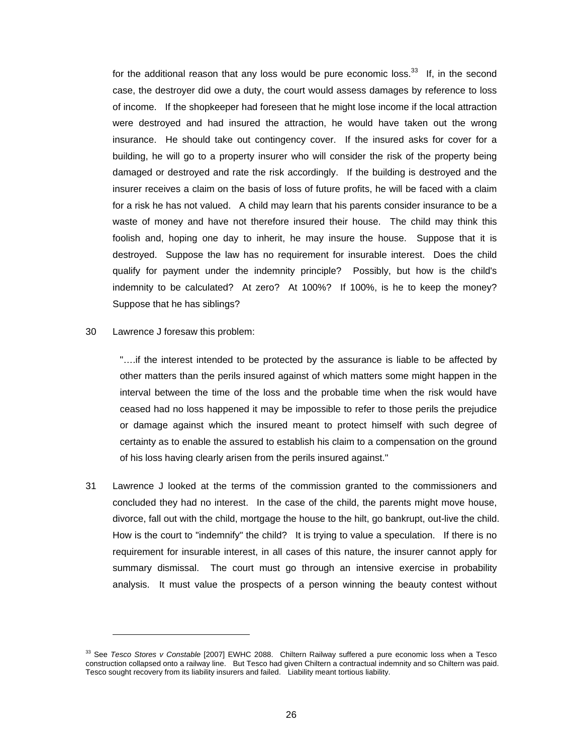for the additional reason that any loss would be pure economic loss. $33$  If, in the second case, the destroyer did owe a duty, the court would assess damages [by](#page-25-0) reference to loss of income. If the shopkeeper had foreseen that he might lose income if the local attraction were destroyed and had insured the attraction, he would have taken out the wrong insurance. He should take out contingency cover. If the insured asks for cover for a building, he will go to a property insurer who will consider the risk of the property being damaged or destroyed and rate the risk accordingly. If the building is destroyed and the insurer receives a claim on the basis of loss of future profits, he will be faced with a claim for a risk he has not valued. A child may learn that his parents consider insurance to be a waste of money and have not therefore insured their house. The child may think this foolish and, hoping one day to inherit, he may insure the house. Suppose that it is destroyed. Suppose the law has no requirement for insurable interest. Does the child qualify for payment under the indemnity principle? Possibly, but how is the child's indemnity to be calculated? At zero? At 100%? If 100%, is he to keep the money? Suppose that he has siblings?

#### 30 Lawrence J foresaw this problem:

 $\overline{a}$ 

"….if the interest intended to be protected by the assurance is liable to be affected by other matters than the perils insured against of which matters some might happen in the interval between the time of the loss and the probable time when the risk would have ceased had no loss happened it may be impossible to refer to those perils the prejudice or damage against which the insured meant to protect himself with such degree of certainty as to enable the assured to establish his claim to a compensation on the ground of his loss having clearly arisen from the perils insured against."

31 Lawrence J looked at the terms of the commission granted to the commissioners and concluded they had no interest. In the case of the child, the parents might move house, divorce, fall out with the child, mortgage the house to the hilt, go bankrupt, out-live the child. How is the court to "indemnify" the child? It is trying to value a speculation. If there is no requirement for insurable interest, in all cases of this nature, the insurer cannot apply for summary dismissal. The court must go through an intensive exercise in probability analysis. It must value the prospects of a person winning the beauty contest without

<span id="page-25-0"></span><sup>33</sup> See *Tesco Stores v Constable* [2007] EWHC 2088. Chiltern Railway suffered a pure economic loss when a Tesco construction collapsed onto a railway line. But Tesco had given Chiltern a contractual indemnity and so Chiltern was paid. Tesco sought recovery from its liability insurers and failed. Liability meant tortious liability.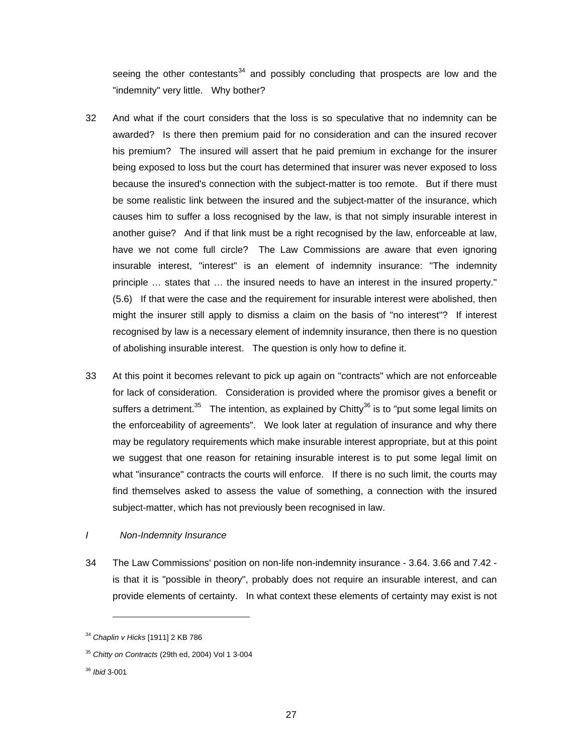seeing the other contestants $34$  and possibly concluding that prospects are low and the "indemnity" very little. Why [both](#page-26-0)er?

- 32 And what if the court considers that the loss is so speculative that no indemnity can be awarded? Is there then premium paid for no consideration and can the insured recover his premium? The insured will assert that he paid premium in exchange for the insurer being exposed to loss but the court has determined that insurer was never exposed to loss because the insured's connection with the subject-matter is too remote. But if there must be some realistic link between the insured and the subject-matter of the insurance, which causes him to suffer a loss recognised by the law, is that not simply insurable interest in another guise? And if that link must be a right recognised by the law, enforceable at law, have we not come full circle? The Law Commissions are aware that even ignoring insurable interest, "interest" is an element of indemnity insurance: "The indemnity principle … states that … the insured needs to have an interest in the insured property." (5.6) If that were the case and the requirement for insurable interest were abolished, then might the insurer still apply to dismiss a claim on the basis of "no interest"? If interest recognised by law is a necessary element of indemnity insurance, then there is no question of abolishing insurable interest. The question is only how to define it.
- 33 At this point it becomes relevant to pick up again on "contracts" which are not enforceable for lack of consideration. Consideration is provided where the promisor gives a benefit or suffers a detriment.<sup>35</sup> The intention, as explained by Chitty<sup>36</sup> is to "put some legal limits on the enforceability o[f ag](#page-26-1)reements". We look later at regulati[on o](#page-26-2)f insurance and why there may be regulatory requirements which make insurable interest appropriate, but at this point we suggest that one reason for retaining insurable interest is to put some legal limit on what "insurance" contracts the courts will enforce. If there is no such limit, the courts may find themselves asked to assess the value of something, a connection with the insured subject-matter, which has not previously been recognised in law.

### *I Non-Indemnity Insurance*

34 The Law Commissions' position on non-life non-indemnity insurance - 3.64. 3.66 and 7.42 is that it is "possible in theory", probably does not require an insurable interest, and can provide elements of certainty. In what context these elements of certainty may exist is not

<span id="page-26-0"></span><sup>34</sup> *Chaplin v Hicks* [1911] 2 KB 786

<span id="page-26-1"></span><sup>35</sup> *Chitty on Contracts* (29th ed, 2004) Vol 1 3-004

<span id="page-26-2"></span><sup>36</sup> *Ibid* 3-001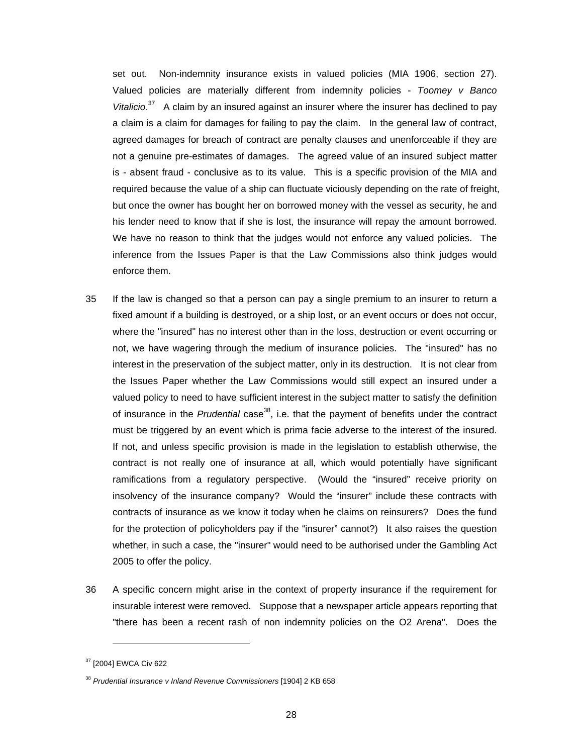set out. Non-indemnity insurance exists in valued policies (MIA 1906, section 27). Valued policies are materially different from indemnity policies - *Toomey v Banco* Vitalicio.<sup>37</sup> A claim by an insured against an insurer where the insurer has declined to pay a claim [is a](#page-27-0) claim for damages for failing to pay the claim. In the general law of contract, agreed damages for breach of contract are penalty clauses and unenforceable if they are not a genuine pre-estimates of damages. The agreed value of an insured subject matter is - absent fraud - conclusive as to its value. This is a specific provision of the MIA and required because the value of a ship can fluctuate viciously depending on the rate of freight, but once the owner has bought her on borrowed money with the vessel as security, he and his lender need to know that if she is lost, the insurance will repay the amount borrowed. We have no reason to think that the judges would not enforce any valued policies. The inference from the Issues Paper is that the Law Commissions also think judges would enforce them.

- 35 If the law is changed so that a person can pay a single premium to an insurer to return a fixed amount if a building is destroyed, or a ship lost, or an event occurs or does not occur, where the "insured" has no interest other than in the loss, destruction or event occurring or not, we have wagering through the medium of insurance policies. The "insured" has no interest in the preservation of the subject matter, only in its destruction. It is not clear from the Issues Paper whether the Law Commissions would still expect an insured under a valued policy to need to have sufficient interest in the subject matter to satisfy the definition of insurance in the *Prudential* case<sup>38</sup>, i.e. that the payment of benefits under the contract must be triggered by an event whi[ch](#page-27-1) is prima facie adverse to the interest of the insured. If not, and unless specific provision is made in the legislation to establish otherwise, the contract is not really one of insurance at all, which would potentially have significant ramifications from a regulatory perspective. (Would the "insured" receive priority on insolvency of the insurance company? Would the "insurer" include these contracts with contracts of insurance as we know it today when he claims on reinsurers? Does the fund for the protection of policyholders pay if the "insurer" cannot?) It also raises the question whether, in such a case, the "insurer" would need to be authorised under the Gambling Act 2005 to offer the policy.
- 36 A specific concern might arise in the context of property insurance if the requirement for insurable interest were removed. Suppose that a newspaper article appears reporting that "there has been a recent rash of non indemnity policies on the O2 Arena". Does the

<span id="page-27-0"></span><sup>37 [2004]</sup> EWCA Civ 622

<span id="page-27-1"></span><sup>38</sup> *Prudential Insurance v Inland Revenue Commissioners* [1904] 2 KB 658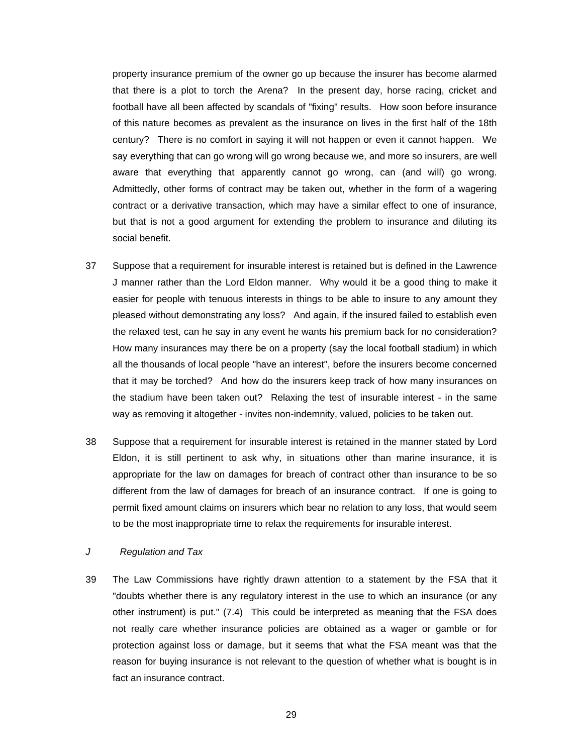property insurance premium of the owner go up because the insurer has become alarmed that there is a plot to torch the Arena? In the present day, horse racing, cricket and football have all been affected by scandals of "fixing" results. How soon before insurance of this nature becomes as prevalent as the insurance on lives in the first half of the 18th century? There is no comfort in saying it will not happen or even it cannot happen. We say everything that can go wrong will go wrong because we, and more so insurers, are well aware that everything that apparently cannot go wrong, can (and will) go wrong. Admittedly, other forms of contract may be taken out, whether in the form of a wagering contract or a derivative transaction, which may have a similar effect to one of insurance, but that is not a good argument for extending the problem to insurance and diluting its social benefit.

- 37 Suppose that a requirement for insurable interest is retained but is defined in the Lawrence J manner rather than the Lord Eldon manner. Why would it be a good thing to make it easier for people with tenuous interests in things to be able to insure to any amount they pleased without demonstrating any loss? And again, if the insured failed to establish even the relaxed test, can he say in any event he wants his premium back for no consideration? How many insurances may there be on a property (say the local football stadium) in which all the thousands of local people "have an interest", before the insurers become concerned that it may be torched? And how do the insurers keep track of how many insurances on the stadium have been taken out? Relaxing the test of insurable interest - in the same way as removing it altogether - invites non-indemnity, valued, policies to be taken out.
- 38 Suppose that a requirement for insurable interest is retained in the manner stated by Lord Eldon, it is still pertinent to ask why, in situations other than marine insurance, it is appropriate for the law on damages for breach of contract other than insurance to be so different from the law of damages for breach of an insurance contract. If one is going to permit fixed amount claims on insurers which bear no relation to any loss, that would seem to be the most inappropriate time to relax the requirements for insurable interest.

#### *J Regulation and Tax*

39 The Law Commissions have rightly drawn attention to a statement by the FSA that it "doubts whether there is any regulatory interest in the use to which an insurance (or any other instrument) is put." (7.4) This could be interpreted as meaning that the FSA does not really care whether insurance policies are obtained as a wager or gamble or for protection against loss or damage, but it seems that what the FSA meant was that the reason for buying insurance is not relevant to the question of whether what is bought is in fact an insurance contract.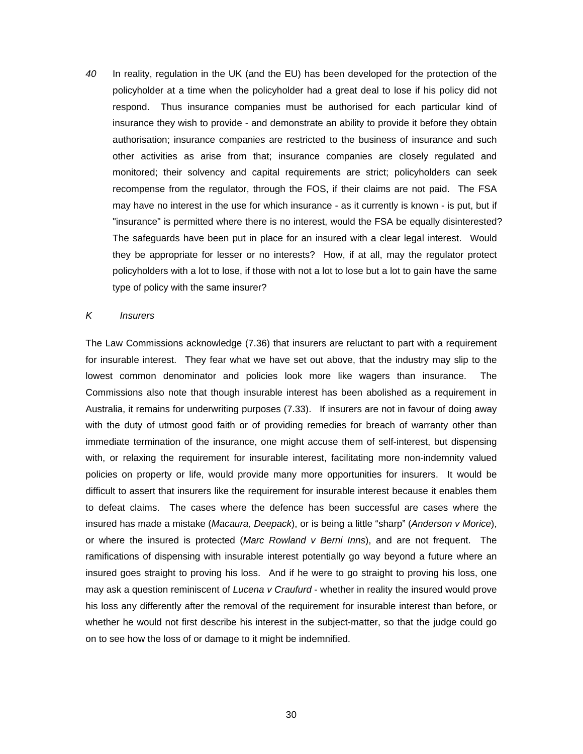*40* In reality, regulation in the UK (and the EU) has been developed for the protection of the policyholder at a time when the policyholder had a great deal to lose if his policy did not respond. Thus insurance companies must be authorised for each particular kind of insurance they wish to provide - and demonstrate an ability to provide it before they obtain authorisation; insurance companies are restricted to the business of insurance and such other activities as arise from that; insurance companies are closely regulated and monitored; their solvency and capital requirements are strict; policyholders can seek recompense from the regulator, through the FOS, if their claims are not paid. The FSA may have no interest in the use for which insurance - as it currently is known - is put, but if "insurance" is permitted where there is no interest, would the FSA be equally disinterested? The safeguards have been put in place for an insured with a clear legal interest. Would they be appropriate for lesser or no interests? How, if at all, may the regulator protect policyholders with a lot to lose, if those with not a lot to lose but a lot to gain have the same type of policy with the same insurer?

#### *K Insurers*

The Law Commissions acknowledge (7.36) that insurers are reluctant to part with a requirement for insurable interest. They fear what we have set out above, that the industry may slip to the lowest common denominator and policies look more like wagers than insurance. The Commissions also note that though insurable interest has been abolished as a requirement in Australia, it remains for underwriting purposes (7.33). If insurers are not in favour of doing away with the duty of utmost good faith or of providing remedies for breach of warranty other than immediate termination of the insurance, one might accuse them of self-interest, but dispensing with, or relaxing the requirement for insurable interest, facilitating more non-indemnity valued policies on property or life, would provide many more opportunities for insurers. It would be difficult to assert that insurers like the requirement for insurable interest because it enables them to defeat claims. The cases where the defence has been successful are cases where the insured has made a mistake (*Macaura, Deepack*), or is being a little "sharp" (*Anderson v Morice*), or where the insured is protected (*Marc Rowland v Berni Inns*), and are not frequent. The ramifications of dispensing with insurable interest potentially go way beyond a future where an insured goes straight to proving his loss. And if he were to go straight to proving his loss, one may ask a question reminiscent of *Lucena v Craufurd* - whether in reality the insured would prove his loss any differently after the removal of the requirement for insurable interest than before, or whether he would not first describe his interest in the subject-matter, so that the judge could go on to see how the loss of or damage to it might be indemnified.